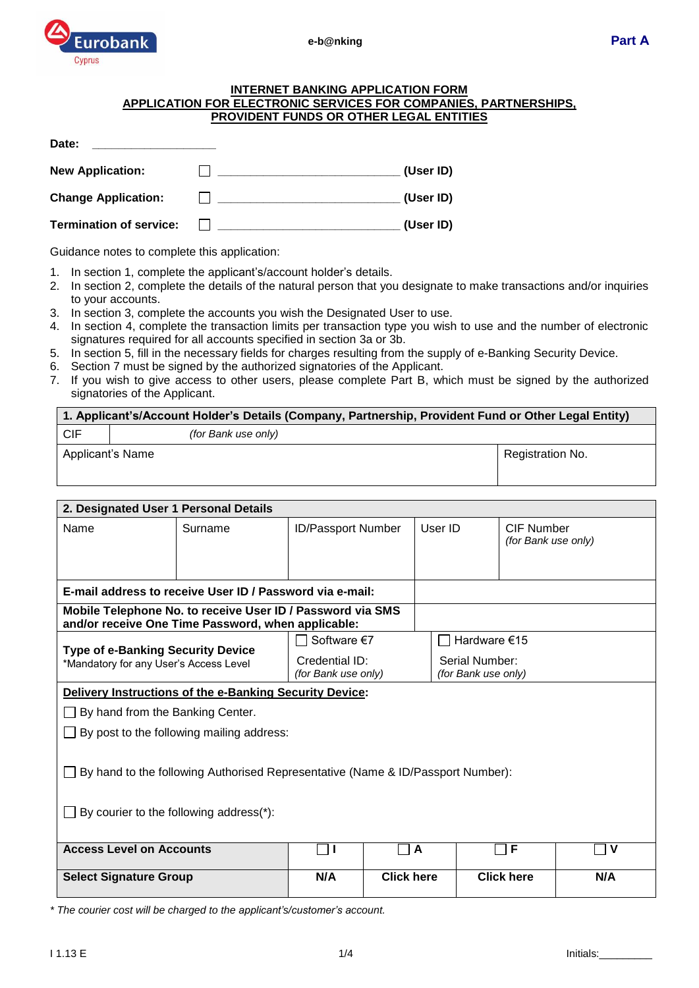

#### **INTERNET BANKING APPLICATION FORM APPLICATION FOR ELECTRONIC SERVICES FOR COMPANIES, PARTNERSHIPS, PROVIDENT FUNDS OR OTHER LEGAL ENTITIES**

| Date:                          |           |
|--------------------------------|-----------|
| <b>New Application:</b>        | (User ID) |
| <b>Change Application:</b>     | (User ID) |
| <b>Termination of service:</b> | (User ID) |

Guidance notes to complete this application:

- 1. In section 1, complete the applicant's/account holder's details.
- 2. In section 2, complete the details of the natural person that you designate to make transactions and/or inquiries to your accounts.
- 3. In section 3, complete the accounts you wish the Designated User to use.
- 4. In section 4, complete the transaction limits per transaction type you wish to use and the number of electronic signatures required for all accounts specified in section 3a or 3b.
- 5. In section 5, fill in the necessary fields for charges resulting from the supply of e-Banking Security Device.
- 6. Section 7 must be signed by the authorized signatories of the Applicant.
- 7. If you wish to give access to other users, please complete Part B, which must be signed by the authorized signatories of the Applicant.

| 1. Applicant's/Account Holder's Details (Company, Partnership, Provident Fund or Other Legal Entity) |                     |                  |  |  |
|------------------------------------------------------------------------------------------------------|---------------------|------------------|--|--|
| . CIF                                                                                                | (for Bank use only) |                  |  |  |
| Applicant's Name                                                                                     |                     | Registration No. |  |  |

| 2. Designated User 1 Personal Details                                                                                             |                                  |                                       |                   |                                       |                                   |              |  |  |
|-----------------------------------------------------------------------------------------------------------------------------------|----------------------------------|---------------------------------------|-------------------|---------------------------------------|-----------------------------------|--------------|--|--|
| Name                                                                                                                              | Surname                          | <b>ID/Passport Number</b>             |                   | User ID                               | CIF Number<br>(for Bank use only) |              |  |  |
| E-mail address to receive User ID / Password via e-mail:                                                                          |                                  |                                       |                   |                                       |                                   |              |  |  |
| Mobile Telephone No. to receive User ID / Password via SMS<br>and/or receive One Time Password, when applicable:                  |                                  |                                       |                   |                                       |                                   |              |  |  |
|                                                                                                                                   | Software €7                      |                                       | Hardware $€15$    |                                       |                                   |              |  |  |
| <b>Type of e-Banking Security Device</b><br>*Mandatory for any User's Access Level                                                |                                  | Credential ID:<br>(for Bank use only) |                   | Serial Number:<br>(for Bank use only) |                                   |              |  |  |
| Delivery Instructions of the e-Banking Security Device:                                                                           |                                  |                                       |                   |                                       |                                   |              |  |  |
|                                                                                                                                   | By hand from the Banking Center. |                                       |                   |                                       |                                   |              |  |  |
| By post to the following mailing address:                                                                                         |                                  |                                       |                   |                                       |                                   |              |  |  |
| $\Box$ By hand to the following Authorised Representative (Name & ID/Passport Number):<br>By courier to the following address(*): |                                  |                                       |                   |                                       |                                   |              |  |  |
| <b>Access Level on Accounts</b>                                                                                                   |                                  | ┐╻                                    | A                 |                                       | F                                 | $\mathsf{V}$ |  |  |
|                                                                                                                                   |                                  |                                       |                   |                                       |                                   |              |  |  |
| <b>Select Signature Group</b>                                                                                                     |                                  | N/A                                   | <b>Click here</b> |                                       | <b>Click here</b>                 | N/A          |  |  |

*\* The courier cost will be charged to the applicant's/customer's account.*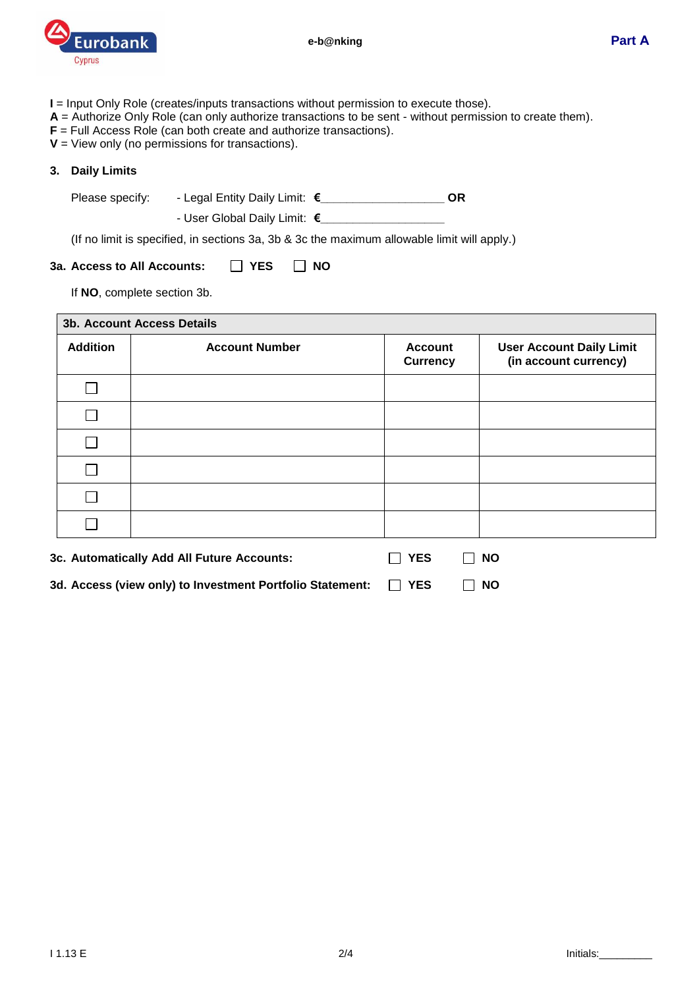

- **I** = Input Only Role (creates/inputs transactions without permission to execute those).
- **A** = Authorize Only Role (can only authorize transactions to be sent without permission to create them).
- **F** = Full Access Role (can both create and authorize transactions).
- **V** = View only (no permissions for transactions).

#### **3. Daily Limits**

r

Please specify: - Legal Entity Daily Limit: **€\_\_\_\_\_\_\_\_\_\_\_\_\_\_\_\_\_\_\_ OR**

- User Global Daily Limit: **€\_\_\_\_\_\_\_\_\_\_\_\_\_\_\_\_\_\_\_**

(If no limit is specified, in sections 3a, 3b & 3c the maximum allowable limit will apply.)

# **3a.** Access to All Accounts: □ YES □ NO

If **NO**, complete section 3b.

| <b>Addition</b>                                           | <b>Account Number</b>                      | <b>Account</b><br><b>Currency</b> | <b>User Account Daily Limit</b><br>(in account currency) |
|-----------------------------------------------------------|--------------------------------------------|-----------------------------------|----------------------------------------------------------|
|                                                           |                                            |                                   |                                                          |
|                                                           |                                            |                                   |                                                          |
|                                                           |                                            |                                   |                                                          |
|                                                           |                                            |                                   |                                                          |
|                                                           |                                            |                                   |                                                          |
|                                                           |                                            |                                   |                                                          |
|                                                           | 3c. Automatically Add All Future Accounts: | <b>YES</b>                        | <b>NO</b>                                                |
| 3d. Access (view only) to Investment Portfolio Statement: |                                            | <b>YES</b>                        | <b>NO</b>                                                |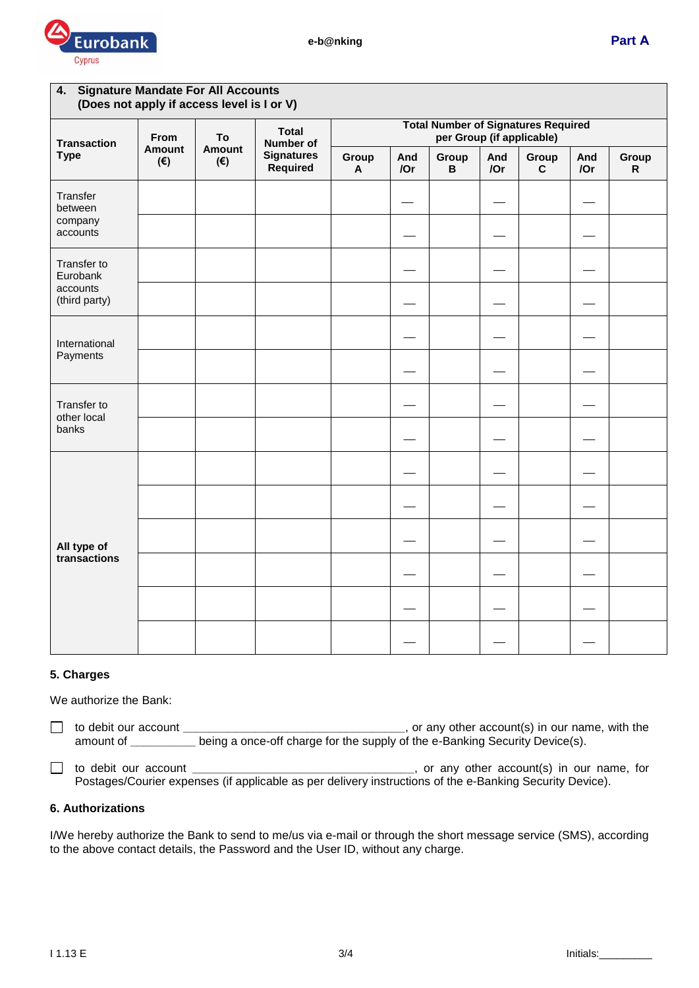

| 4. Signature Mandate For All Accounts<br>(Does not apply if access level is I or V) |                                                                             |                               |                           |                                                                         |            |            |                       |            |             |  |
|-------------------------------------------------------------------------------------|-----------------------------------------------------------------------------|-------------------------------|---------------------------|-------------------------------------------------------------------------|------------|------------|-----------------------|------------|-------------|--|
| <b>Transaction</b>                                                                  | From<br>To<br>Amount<br>Amount<br>$(\boldsymbol{\epsilon})$<br>$(\epsilon)$ |                               | <b>Total</b><br>Number of | <b>Total Number of Signatures Required</b><br>per Group (if applicable) |            |            |                       |            |             |  |
| <b>Type</b>                                                                         |                                                                             | <b>Signatures</b><br>Required | Group<br>$\mathsf{A}$     | And<br>/Or                                                              | Group<br>B | And<br>/Or | Group<br>$\mathbf{C}$ | And<br>/Or | Group<br>R. |  |
| Transfer<br>between                                                                 |                                                                             |                               |                           |                                                                         |            |            |                       |            |             |  |
| company<br>accounts                                                                 |                                                                             |                               |                           |                                                                         |            |            |                       |            |             |  |
| Transfer to<br>Eurobank                                                             |                                                                             |                               |                           |                                                                         |            |            |                       |            |             |  |
| accounts<br>(third party)                                                           |                                                                             |                               |                           |                                                                         |            |            |                       |            |             |  |
| International                                                                       |                                                                             |                               |                           |                                                                         |            |            |                       |            |             |  |
| Payments                                                                            |                                                                             |                               |                           |                                                                         |            |            |                       |            |             |  |
| Transfer to<br>other local<br>banks                                                 |                                                                             |                               |                           |                                                                         |            |            |                       |            |             |  |
|                                                                                     |                                                                             |                               |                           |                                                                         |            |            |                       |            |             |  |
| All type of<br>transactions                                                         |                                                                             |                               |                           |                                                                         |            |            |                       |            |             |  |
|                                                                                     |                                                                             |                               |                           |                                                                         |            |            |                       |            |             |  |
|                                                                                     |                                                                             |                               |                           |                                                                         |            |            |                       |            |             |  |
|                                                                                     |                                                                             |                               |                           |                                                                         |            |            |                       |            |             |  |
|                                                                                     |                                                                             |                               |                           |                                                                         |            |            |                       |            |             |  |
|                                                                                     |                                                                             |                               |                           |                                                                         |            |            |                       |            |             |  |

# **5. Charges**

We authorize the Bank:

 $\Box$ to debit our account **\_\_\_\_\_\_\_\_\_\_\_\_\_\_\_\_\_\_\_\_\_\_\_\_\_\_\_\_\_\_\_\_\_\_**, or any other account(s) in our name, with the amount of **\_\_\_\_\_\_\_\_\_\_** being a once-off charge for the supply of the e-Banking Security Device(s).

to debit our account **\_\_\_\_\_\_\_\_\_\_\_\_\_\_\_\_\_\_\_\_\_\_\_\_\_\_\_\_\_\_\_\_\_\_**, or any other account(s) in our name, for Postages/Courier expenses (if applicable as per delivery instructions of the e-Banking Security Device).

### **6. Authorizations**

I/We hereby authorize the Bank to send to me/us via e-mail or through the short message service (SMS), according to the above contact details, the Password and the User ID, without any charge.